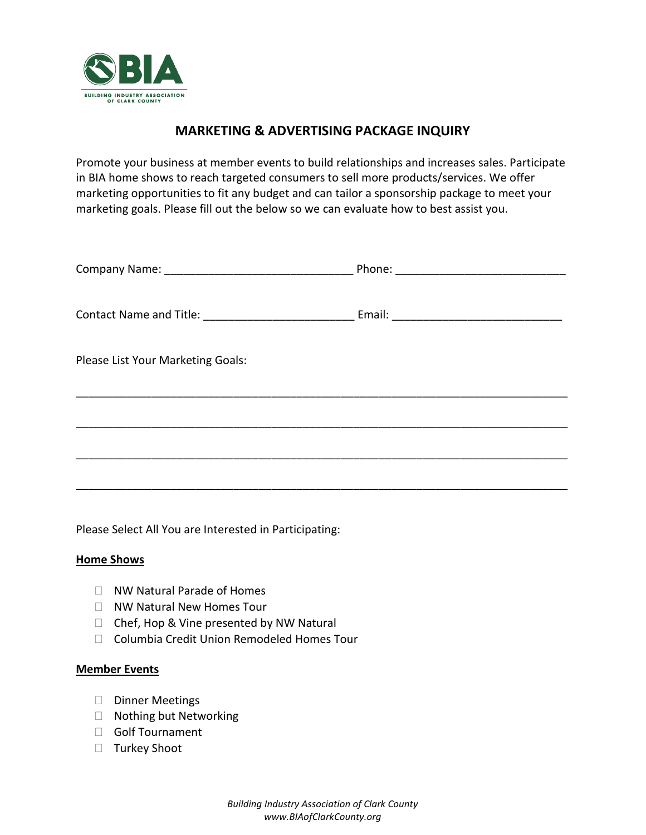

## **MARKETING & ADVERTISING PACKAGE INQUIRY**

Promote your business at member events to build relationships and increases sales. Participate in BIA home shows to reach targeted consumers to sell more products/services. We offer marketing opportunities to fit any budget and can tailor a sponsorship package to meet your marketing goals. Please fill out the below so we can evaluate how to best assist you.

| Please List Your Marketing Goals: |  |
|-----------------------------------|--|
|                                   |  |
|                                   |  |
|                                   |  |

Please Select All You are Interested in Participating:

#### **Home Shows**

- □ NW Natural Parade of Homes
- □ NW Natural New Homes Tour
- $\Box$  Chef, Hop & Vine presented by NW Natural
- □ Columbia Credit Union Remodeled Homes Tour

#### **Member Events**

- Dinner Meetings
- □ Nothing but Networking
- Golf Tournament
- □ Turkey Shoot

*Building Industry Association of Clark County www.BIAofClarkCounty.org*